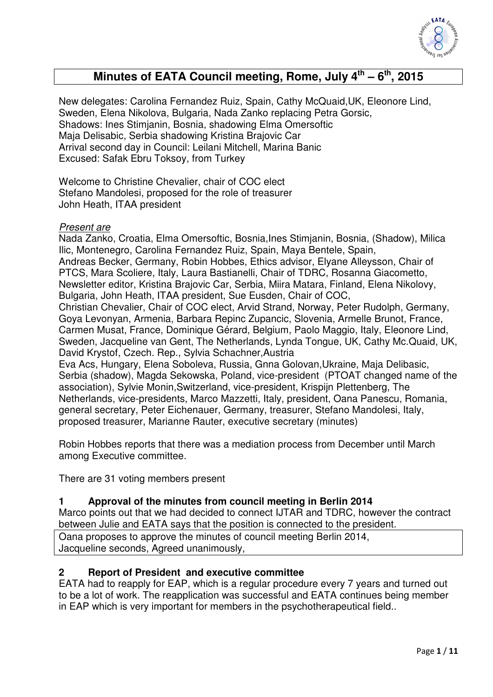

# **Minutes of EATA Council meeting, Rome, July 4th – 6th, 2015**

New delegates: Carolina Fernandez Ruiz, Spain, Cathy McQuaid,UK, Eleonore Lind, Sweden, Elena Nikolova, Bulgaria, Nada Zanko replacing Petra Gorsic, Shadows: Ines Stimjanin, Bosnia, shadowing Elma Omersoftic Maja Delisabic, Serbia shadowing Kristina Brajovic Car Arrival second day in Council: Leilani Mitchell, Marina Banic Excused: Safak Ebru Toksoy, from Turkey

Welcome to Christine Chevalier, chair of COC elect Stefano Mandolesi, proposed for the role of treasurer John Heath, ITAA president

### *Present are*

Nada Zanko, Croatia, Elma Omersoftic, Bosnia,Ines Stimjanin, Bosnia, (Shadow), Milica Ilic, Montenegro, Carolina Fernandez Ruiz, Spain, Maya Bentele, Spain, Andreas Becker, Germany, Robin Hobbes, Ethics advisor, Elyane Alleysson, Chair of PTCS, Mara Scoliere, Italy, Laura Bastianelli, Chair of TDRC, Rosanna Giacometto, Newsletter editor, Kristina Brajovic Car, Serbia, Miira Matara, Finland, Elena Nikolovy, Bulgaria, John Heath, ITAA president, Sue Eusden, Chair of COC, Christian Chevalier, Chair of COC elect, Arvid Strand, Norway, Peter Rudolph, Germany, Goya Levonyan, Armenia, Barbara Repinc Zupancic, Slovenia, Armelle Brunot, France, Carmen Musat, France, Dominique Gérard, Belgium, Paolo Maggio, Italy, Eleonore Lind, Sweden, Jacqueline van Gent, The Netherlands, Lynda Tongue, UK, Cathy Mc.Quaid, UK, David Krystof, Czech. Rep., Sylvia Schachner,Austria Eva Acs, Hungary, Elena Soboleva, Russia, Gnna Golovan,Ukraine, Maja Delibasic, Serbia (shadow), Magda Sekowska, Poland, vice-president (PTOAT changed name of the association), Sylvie Monin,Switzerland, vice-president, Krispijn Plettenberg, The Netherlands, vice-presidents, Marco Mazzetti, Italy, president, Oana Panescu, Romania, general secretary, Peter Eichenauer, Germany, treasurer, Stefano Mandolesi, Italy,

proposed treasurer, Marianne Rauter, executive secretary (minutes)

Robin Hobbes reports that there was a mediation process from December until March among Executive committee.

There are 31 voting members present

### **1 Approval of the minutes from council meeting in Berlin 2014**

Marco points out that we had decided to connect IJTAR and TDRC, however the contract between Julie and EATA says that the position is connected to the president.

Oana proposes to approve the minutes of council meeting Berlin 2014, Jacqueline seconds, Agreed unanimously,

### **2 Report of President and executive committee**

EATA had to reapply for EAP, which is a regular procedure every 7 years and turned out to be a lot of work. The reapplication was successful and EATA continues being member in EAP which is very important for members in the psychotherapeutical field..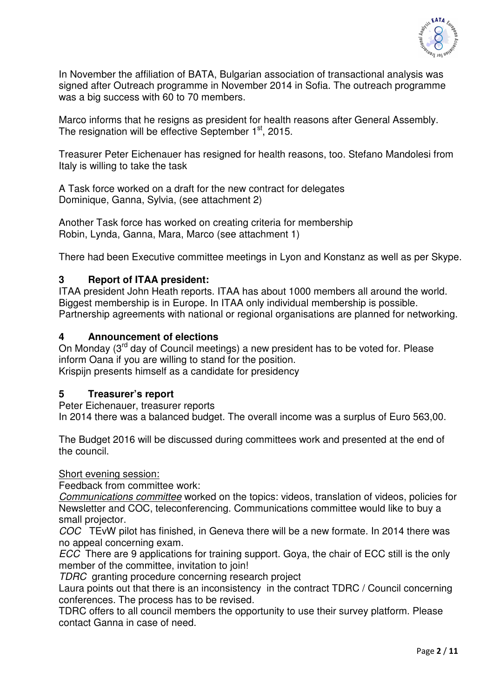

In November the affiliation of BATA, Bulgarian association of transactional analysis was signed after Outreach programme in November 2014 in Sofia. The outreach programme was a big success with 60 to 70 members.

Marco informs that he resigns as president for health reasons after General Assembly. The resignation will be effective September 1<sup>st</sup>, 2015.

Treasurer Peter Eichenauer has resigned for health reasons, too. Stefano Mandolesi from Italy is willing to take the task

A Task force worked on a draft for the new contract for delegates Dominique, Ganna, Sylvia, (see attachment 2)

Another Task force has worked on creating criteria for membership Robin, Lynda, Ganna, Mara, Marco (see attachment 1)

There had been Executive committee meetings in Lyon and Konstanz as well as per Skype.

### **3 Report of ITAA president:**

ITAA president John Heath reports. ITAA has about 1000 members all around the world. Biggest membership is in Europe. In ITAA only individual membership is possible. Partnership agreements with national or regional organisations are planned for networking.

### **4 Announcement of elections**

On Monday (3<sup>rd</sup> day of Council meetings) a new president has to be voted for. Please inform Oana if you are willing to stand for the position. Krispijn presents himself as a candidate for presidency

### **5 Treasurer's report**

Peter Eichenauer, treasurer reports

In 2014 there was a balanced budget. The overall income was a surplus of Euro 563,00.

The Budget 2016 will be discussed during committees work and presented at the end of the council.

### Short evening session:

Feedback from committee work:

*Communications committee* worked on the topics: videos, translation of videos, policies for Newsletter and COC, teleconferencing. Communications committee would like to buy a small projector.

*COC* TEvW pilot has finished, in Geneva there will be a new formate. In 2014 there was no appeal concerning exam.

*ECC* There are 9 applications for training support. Goya, the chair of ECC still is the only member of the committee, invitation to join!

*TDRC* granting procedure concerning research project

Laura points out that there is an inconsistency in the contract TDRC / Council concerning conferences. The process has to be revised.

TDRC offers to all council members the opportunity to use their survey platform. Please contact Ganna in case of need.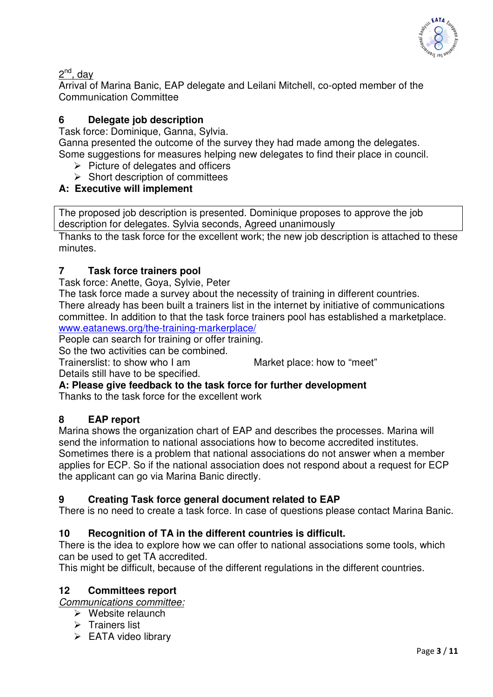

2<sup>nd</sup>, day

Arrival of Marina Banic, EAP delegate and Leilani Mitchell, co-opted member of the Communication Committee

# **6 Delegate job description**

Task force: Dominique, Ganna, Sylvia.

Ganna presented the outcome of the survey they had made among the delegates. Some suggestions for measures helping new delegates to find their place in council.

- $\triangleright$  Picture of delegates and officers
- $\triangleright$  Short description of committees

# **A: Executive will implement**

The proposed job description is presented. Dominique proposes to approve the job description for delegates. Sylvia seconds, Agreed unanimously

Thanks to the task force for the excellent work; the new job description is attached to these minutes.

# **7 Task force trainers pool**

Task force: Anette, Goya, Sylvie, Peter

The task force made a survey about the necessity of training in different countries. There already has been built a trainers list in the internet by initiative of communications committee. In addition to that the task force trainers pool has established a marketplace. www.eatanews.org/the-training-markerplace/

People can search for training or offer training.

So the two activities can be combined.

Trainerslist: to show who I am Market place: how to "meet"

Details still have to be specified. **A: Please give feedback to the task force for further development** 

Thanks to the task force for the excellent work

### **8 EAP report**

Marina shows the organization chart of EAP and describes the processes. Marina will send the information to national associations how to become accredited institutes. Sometimes there is a problem that national associations do not answer when a member applies for ECP. So if the national association does not respond about a request for ECP the applicant can go via Marina Banic directly.

# **9 Creating Task force general document related to EAP**

There is no need to create a task force. In case of questions please contact Marina Banic.

# **10 Recognition of TA in the different countries is difficult.**

There is the idea to explore how we can offer to national associations some tools, which can be used to get TA accredited.

This might be difficult, because of the different regulations in the different countries.

### **12 Committees report**

*Communications committee:*

- Website relaunch
- $\triangleright$  Trainers list
- $\triangleright$  EATA video library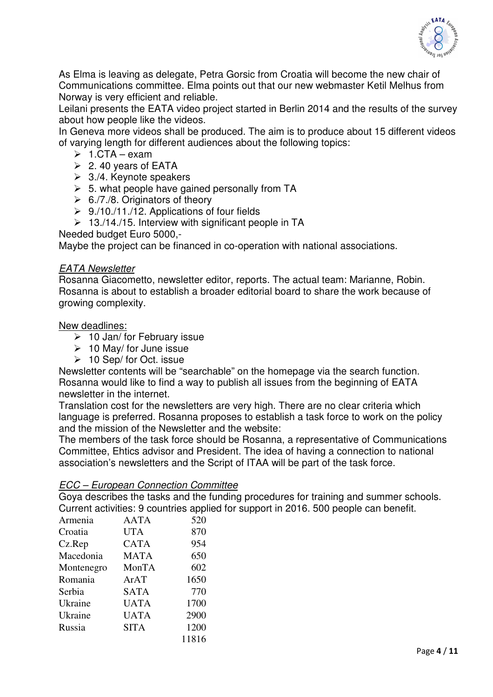

As Elma is leaving as delegate, Petra Gorsic from Croatia will become the new chair of Communications committee. Elma points out that our new webmaster Ketil Melhus from Norway is very efficient and reliable.

Leilani presents the EATA video project started in Berlin 2014 and the results of the survey about how people like the videos.

In Geneva more videos shall be produced. The aim is to produce about 15 different videos of varying length for different audiences about the following topics:

- $\geq 1$ .CTA exam
- $\geq$  2.40 years of EATA
- $\geq$  3./4. Keynote speakers
- $> 5.$  what people have gained personally from TA
- $\triangleright$  6./7./8. Originators of theory
- $\geq 9.710.711.712$ . Applications of four fields
- $\geq 13.14.15$ . Interview with significant people in TA

Needed budget Euro 5000,-

Maybe the project can be financed in co-operation with national associations.

### *EATA Newsletter*

Rosanna Giacometto, newsletter editor, reports. The actual team: Marianne, Robin. Rosanna is about to establish a broader editorial board to share the work because of growing complexity.

### New deadlines:

- $\geq 10$  Jan/ for February issue
- $\geq 10$  May/ for June issue
- $\geq 10$  Sep/ for Oct. issue

Newsletter contents will be "searchable" on the homepage via the search function. Rosanna would like to find a way to publish all issues from the beginning of EATA newsletter in the internet.

Translation cost for the newsletters are very high. There are no clear criteria which language is preferred. Rosanna proposes to establish a task force to work on the policy and the mission of the Newsletter and the website:

The members of the task force should be Rosanna, a representative of Communications Committee, Ehtics advisor and President. The idea of having a connection to national association's newsletters and the Script of ITAA will be part of the task force.

### *ECC – European Connection Committee*

Goya describes the tasks and the funding procedures for training and summer schools. Current activities: 9 countries applied for support in 2016. 500 people can benefit.

| <b>AATA</b> | 520   |
|-------------|-------|
| <b>UTA</b>  | 870   |
| <b>CATA</b> | 954   |
| <b>MATA</b> | 650   |
| MonTA       | 602   |
| ArAT        | 1650  |
| <b>SATA</b> | 770   |
| <b>UATA</b> | 1700  |
| <b>UATA</b> | 2900  |
| <b>SITA</b> | 1200  |
|             | 11816 |
|             |       |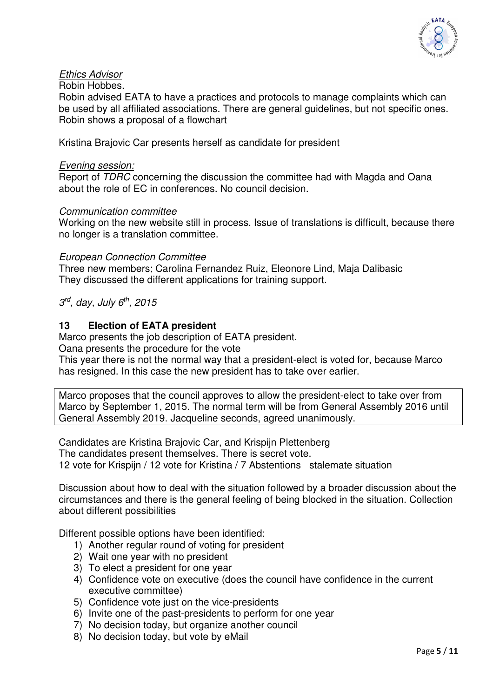

### *Ethics Advisor*

Robin Hobbes.

Robin advised EATA to have a practices and protocols to manage complaints which can be used by all affiliated associations. There are general guidelines, but not specific ones. Robin shows a proposal of a flowchart

Kristina Brajovic Car presents herself as candidate for president

### *Evening session:*

Report of *TDRC* concerning the discussion the committee had with Magda and Oana about the role of EC in conferences. No council decision.

### *Communication committee*

Working on the new website still in process. Issue of translations is difficult, because there no longer is a translation committee.

### *European Connection Committee*

Three new members; Carolina Fernandez Ruiz, Eleonore Lind, Maja Dalibasic They discussed the different applications for training support.

### *3 rd, day, July 6th, 2015*

### **13 Election of EATA president**

Marco presents the job description of EATA president.

Oana presents the procedure for the vote

This year there is not the normal way that a president-elect is voted for, because Marco has resigned. In this case the new president has to take over earlier.

Marco proposes that the council approves to allow the president-elect to take over from Marco by September 1, 2015. The normal term will be from General Assembly 2016 until General Assembly 2019. Jacqueline seconds, agreed unanimously.

Candidates are Kristina Brajovic Car, and Krispijn Plettenberg The candidates present themselves. There is secret vote. 12 vote for Krispijn / 12 vote for Kristina / 7 Abstentions stalemate situation

Discussion about how to deal with the situation followed by a broader discussion about the circumstances and there is the general feeling of being blocked in the situation. Collection about different possibilities

Different possible options have been identified:

- 1) Another regular round of voting for president
- 2) Wait one year with no president
- 3) To elect a president for one year
- 4) Confidence vote on executive (does the council have confidence in the current executive committee)
- 5) Confidence vote just on the vice-presidents
- 6) Invite one of the past-presidents to perform for one year
- 7) No decision today, but organize another council
- 8) No decision today, but vote by eMail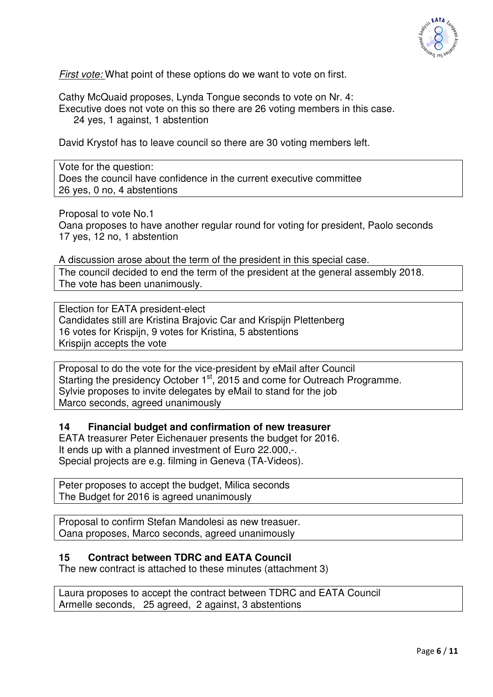

*First vote:* What point of these options do we want to vote on first.

Cathy McQuaid proposes, Lynda Tongue seconds to vote on Nr. 4: Executive does not vote on this so there are 26 voting members in this case. 24 yes, 1 against, 1 abstention

David Krystof has to leave council so there are 30 voting members left.

Vote for the question: Does the council have confidence in the current executive committee 26 yes, 0 no, 4 abstentions

Proposal to vote No.1

Oana proposes to have another regular round for voting for president, Paolo seconds 17 yes, 12 no, 1 abstention

A discussion arose about the term of the president in this special case. The council decided to end the term of the president at the general assembly 2018. The vote has been unanimously.

Election for EATA president-elect Candidates still are Kristina Brajovic Car and Krispijn Plettenberg 16 votes for Krispijn, 9 votes for Kristina, 5 abstentions Krispijn accepts the vote

Proposal to do the vote for the vice-president by eMail after Council Starting the presidency October 1<sup>st</sup>, 2015 and come for Outreach Programme. Sylvie proposes to invite delegates by eMail to stand for the job Marco seconds, agreed unanimously

### **14 Financial budget and confirmation of new treasurer**

EATA treasurer Peter Eichenauer presents the budget for 2016. It ends up with a planned investment of Euro 22.000,-. Special projects are e.g. filming in Geneva (TA-Videos).

Peter proposes to accept the budget, Milica seconds The Budget for 2016 is agreed unanimously

Proposal to confirm Stefan Mandolesi as new treasuer. Oana proposes, Marco seconds, agreed unanimously

### **15 Contract between TDRC and EATA Council**

The new contract is attached to these minutes (attachment 3)

Laura proposes to accept the contract between TDRC and EATA Council Armelle seconds, 25 agreed, 2 against, 3 abstentions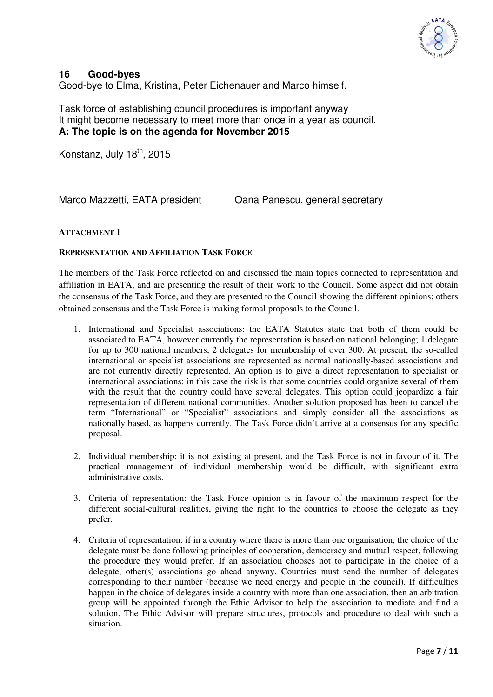

### **16 Good-byes**

Good-bye to Elma, Kristina, Peter Eichenauer and Marco himself.

Task force of establishing council procedures is important anyway It might become necessary to meet more than once in a year as council. **A: The topic is on the agenda for November 2015** 

Konstanz, July 18<sup>th</sup>, 2015

Marco Mazzetti, EATA president Cana Panescu, general secretary

### **ATTACHMENT 1**

### **REPRESENTATION AND AFFILIATION TASK FORCE**

The members of the Task Force reflected on and discussed the main topics connected to representation and affiliation in EATA, and are presenting the result of their work to the Council. Some aspect did not obtain the consensus of the Task Force, and they are presented to the Council showing the different opinions; others obtained consensus and the Task Force is making formal proposals to the Council.

- 1. International and Specialist associations: the EATA Statutes state that both of them could be associated to EATA, however currently the representation is based on national belonging; 1 delegate for up to 300 national members, 2 delegates for membership of over 300. At present, the so-called international or specialist associations are represented as normal nationally-based associations and are not currently directly represented. An option is to give a direct representation to specialist or international associations: in this case the risk is that some countries could organize several of them with the result that the country could have several delegates. This option could jeopardize a fair representation of different national communities. Another solution proposed has been to cancel the term "International" or "Specialist" associations and simply consider all the associations as nationally based, as happens currently. The Task Force didn't arrive at a consensus for any specific proposal.
- 2. Individual membership: it is not existing at present, and the Task Force is not in favour of it. The practical management of individual membership would be difficult, with significant extra administrative costs.
- 3. Criteria of representation: the Task Force opinion is in favour of the maximum respect for the different social-cultural realities, giving the right to the countries to choose the delegate as they prefer.
- 4. Criteria of representation: if in a country where there is more than one organisation, the choice of the delegate must be done following principles of cooperation, democracy and mutual respect, following the procedure they would prefer. If an association chooses not to participate in the choice of a delegate, other(s) associations go ahead anyway. Countries must send the number of delegates corresponding to their number (because we need energy and people in the council). If difficulties happen in the choice of delegates inside a country with more than one association, then an arbitration group will be appointed through the Ethic Advisor to help the association to mediate and find a solution. The Ethic Advisor will prepare structures, protocols and procedure to deal with such a situation.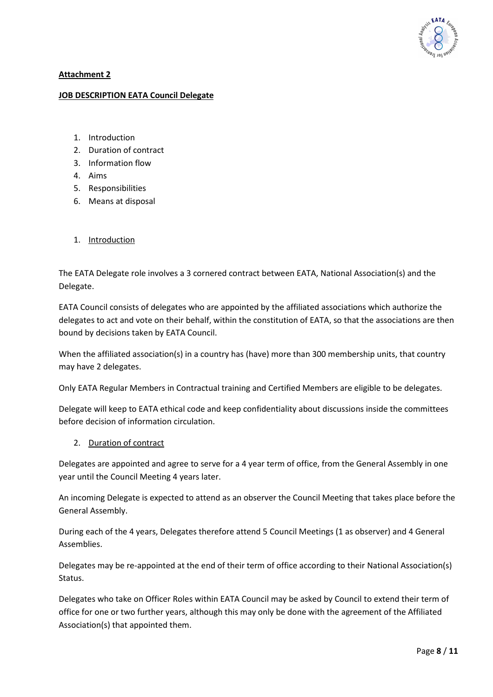

### **Attachment 2**

#### **JOB DESCRIPTION EATA Council Delegate**

- 1. Introduction
- 2. Duration of contract
- 3. Information flow
- 4. Aims
- 5. Responsibilities
- 6. Means at disposal
- 1. Introduction

The EATA Delegate role involves a 3 cornered contract between EATA, National Association(s) and the Delegate.

EATA Council consists of delegates who are appointed by the affiliated associations which authorize the delegates to act and vote on their behalf, within the constitution of EATA, so that the associations are then bound by decisions taken by EATA Council.

When the affiliated association(s) in a country has (have) more than 300 membership units, that country may have 2 delegates.

Only EATA Regular Members in Contractual training and Certified Members are eligible to be delegates.

Delegate will keep to EATA ethical code and keep confidentiality about discussions inside the committees before decision of information circulation.

2. Duration of contract

Delegates are appointed and agree to serve for a 4 year term of office, from the General Assembly in one year until the Council Meeting 4 years later.

An incoming Delegate is expected to attend as an observer the Council Meeting that takes place before the General Assembly.

During each of the 4 years, Delegates therefore attend 5 Council Meetings (1 as observer) and 4 General Assemblies.

Delegates may be re-appointed at the end of their term of office according to their National Association(s) Status.

Delegates who take on Officer Roles within EATA Council may be asked by Council to extend their term of office for one or two further years, although this may only be done with the agreement of the Affiliated Association(s) that appointed them.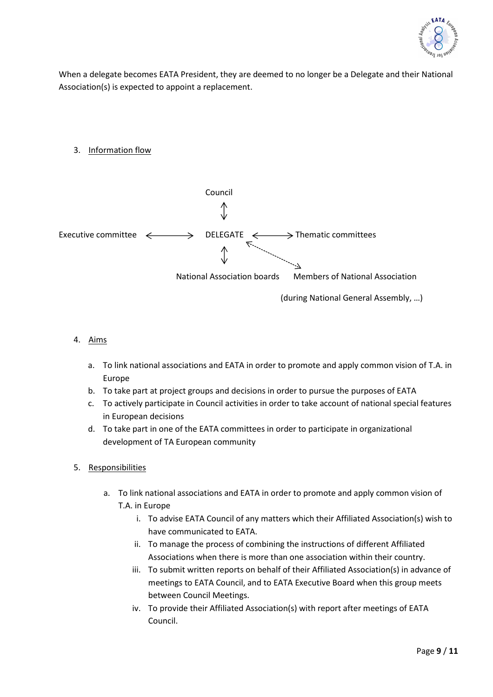

When a delegate becomes EATA President, they are deemed to no longer be a Delegate and their National Association(s) is expected to appoint a replacement.

3. Information flow



### 4. Aims

- a. To link national associations and EATA in order to promote and apply common vision of T.A. in Europe
- b. To take part at project groups and decisions in order to pursue the purposes of EATA
- c. To actively participate in Council activities in order to take account of national special features in European decisions
- d. To take part in one of the EATA committees in order to participate in organizational development of TA European community
- 5. Responsibilities
	- a. To link national associations and EATA in order to promote and apply common vision of T.A. in Europe
		- i. To advise EATA Council of any matters which their Affiliated Association(s) wish to have communicated to EATA.
		- ii. To manage the process of combining the instructions of different Affiliated Associations when there is more than one association within their country.
		- iii. To submit written reports on behalf of their Affiliated Association(s) in advance of meetings to EATA Council, and to EATA Executive Board when this group meets between Council Meetings.
		- iv. To provide their Affiliated Association(s) with report after meetings of EATA Council.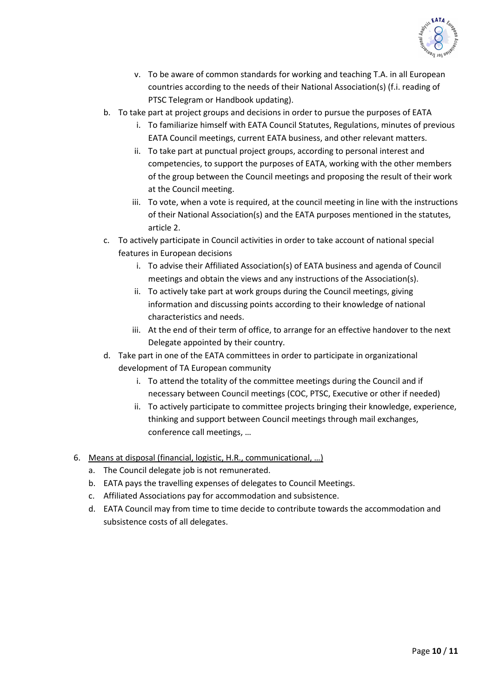

- v. To be aware of common standards for working and teaching T.A. in all European countries according to the needs of their National Association(s) (f.i. reading of PTSC Telegram or Handbook updating).
- b. To take part at project groups and decisions in order to pursue the purposes of EATA
	- i. To familiarize himself with EATA Council Statutes, Regulations, minutes of previous EATA Council meetings, current EATA business, and other relevant matters.
	- ii. To take part at punctual project groups, according to personal interest and competencies, to support the purposes of EATA, working with the other members of the group between the Council meetings and proposing the result of their work at the Council meeting.
	- iii. To vote, when a vote is required, at the council meeting in line with the instructions of their National Association(s) and the EATA purposes mentioned in the statutes, article 2.
- c. To actively participate in Council activities in order to take account of national special features in European decisions
	- i. To advise their Affiliated Association(s) of EATA business and agenda of Council meetings and obtain the views and any instructions of the Association(s).
	- ii. To actively take part at work groups during the Council meetings, giving information and discussing points according to their knowledge of national characteristics and needs.
	- iii. At the end of their term of office, to arrange for an effective handover to the next Delegate appointed by their country.
- d. Take part in one of the EATA committees in order to participate in organizational development of TA European community
	- i. To attend the totality of the committee meetings during the Council and if necessary between Council meetings (COC, PTSC, Executive or other if needed)
	- ii. To actively participate to committee projects bringing their knowledge, experience, thinking and support between Council meetings through mail exchanges, conference call meetings, …
- 6. Means at disposal (financial, logistic, H.R., communicational, …)
	- a. The Council delegate job is not remunerated.
	- b. EATA pays the travelling expenses of delegates to Council Meetings.
	- c. Affiliated Associations pay for accommodation and subsistence.
	- d. EATA Council may from time to time decide to contribute towards the accommodation and subsistence costs of all delegates.